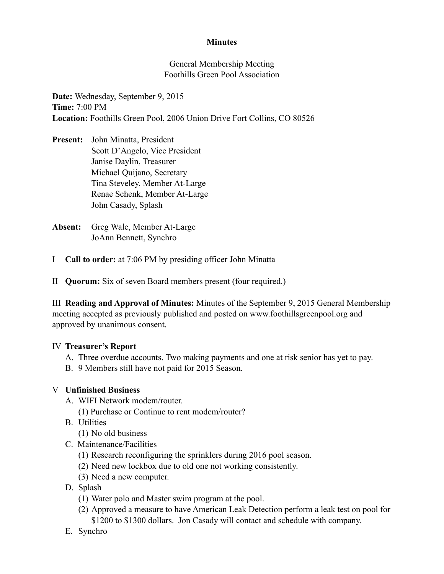# **Minutes**

General Membership Meeting Foothills Green Pool Association

**Date:** Wednesday, September 9, 2015 **Time:** 7:00 PM **Location:** Foothills Green Pool, 2006 Union Drive Fort Collins, CO 80526

- **Present:** John Minatta, President Scott D'Angelo, Vice President Janise Daylin, Treasurer Michael Quijano, Secretary Tina Steveley, Member At-Large Renae Schenk, Member At-Large John Casady, Splash
- **Absent:** Greg Wale, Member At-Large JoAnn Bennett, Synchro
- I **Call to order:** at 7:06 PM by presiding officer John Minatta
- II **Quorum:** Six of seven Board members present (four required.)

III **Reading and Approval of Minutes:** Minutes of the September 9, 2015 General Membership meeting accepted as previously published and posted on www.foothillsgreenpool.org and approved by unanimous consent.

## IV **Treasurer's Report**

- A. Three overdue accounts. Two making payments and one at risk senior has yet to pay.
- B. 9 Members still have not paid for 2015 Season.

## V **Unfinished Business**

- A. WIFI Network modem/router.
	- (1) Purchase or Continue to rent modem/router?
- B. Utilities
	- (1) No old business
- C. Maintenance/Facilities
	- (1) Research reconfiguring the sprinklers during 2016 pool season.
	- (2) Need new lockbox due to old one not working consistently.
	- (3) Need a new computer.
- D. Splash
	- (1) Water polo and Master swim program at the pool.
	- (2) Approved a measure to have American Leak Detection perform a leak test on pool for \$1200 to \$1300 dollars. Jon Casady will contact and schedule with company.
- E. Synchro